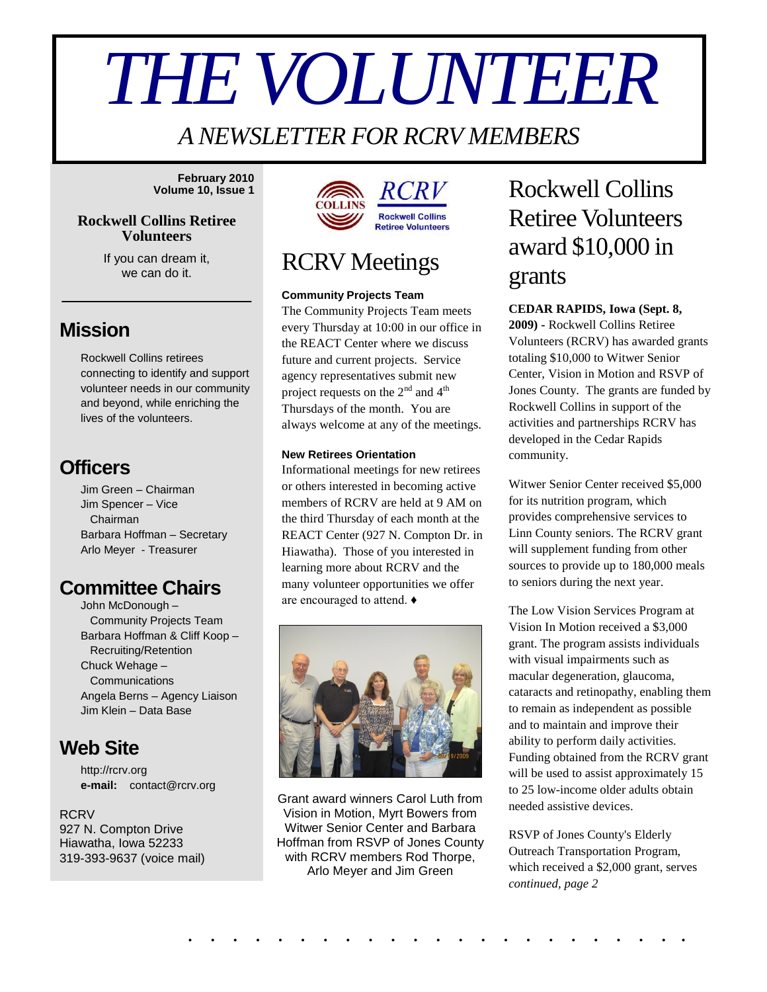# *THE VOLUNTEER*

## *A NEWSLETTER FOR RCRV MEMBERS*

**February 2010 Volume 10, Issue 1**

#### **Rockwell Collins Retiree Volunteers**

If you can dream it, we can do it.

\_\_\_\_\_\_\_\_\_\_\_\_\_\_\_\_\_

### **Mission**

Rockwell Collins retirees connecting to identify and support volunteer needs in our community and beyond, while enriching the lives of the volunteers.

## **Officers**

Jim Green – Chairman Jim Spencer – Vice Chairman Barbara Hoffman – Secretary Arlo Meyer - Treasurer

## **Committee Chairs**

John McDonough – Community Projects Team Barbara Hoffman & Cliff Koop – Recruiting/Retention Chuck Wehage – **Communications** Angela Berns – Agency Liaison Jim Klein – Data Base

## **Web Site**

http://rcrv.org **e-mail:** contact@rcrv.org

**RCRV** 927 N. Compton Drive Hiawatha, Iowa 52233 319-393-9637 (voice mail)



## RCRV Meetings

#### **Community Projects Team**

The Community Projects Team meets every Thursday at 10:00 in our office in the REACT Center where we discuss future and current projects. Service agency representatives submit new project requests on the  $2<sup>nd</sup>$  and  $4<sup>th</sup>$ Thursdays of the month. You are always welcome at any of the meetings.

#### **New Retirees Orientation**

Informational meetings for new retirees or others interested in becoming active members of RCRV are held at 9 AM on the third Thursday of each month at the REACT Center (927 N. Compton Dr. in Hiawatha). Those of you interested in learning more about RCRV and the many volunteer opportunities we offer are encouraged to attend. ♦



Grant award winners Carol Luth from Vision in Motion, Myrt Bowers from Witwer Senior Center and Barbara Hoffman from RSVP of Jones County with RCRV members Rod Thorpe, Arlo Meyer and Jim Green

## Rockwell Collins Retiree Volunteers award \$10,000 in grants

**CEDAR RAPIDS, Iowa (Sept. 8,** 

**2009) -** Rockwell Collins Retiree Volunteers (RCRV) has awarded grants totaling \$10,000 to Witwer Senior Center, Vision in Motion and RSVP of Jones County. The grants are funded by Rockwell Collins in support of the activities and partnerships RCRV has developed in the Cedar Rapids community.

Witwer Senior Center received \$5,000 for its nutrition program, which provides comprehensive services to Linn County seniors. The RCRV grant will supplement funding from other sources to provide up to 180,000 meals to seniors during the next year.

The Low Vision Services Program at Vision In Motion received a \$3,000 grant. The program assists individuals with visual impairments such as macular degeneration, glaucoma, cataracts and retinopathy, enabling them to remain as independent as possible and to maintain and improve their ability to perform daily activities. Funding obtained from the RCRV grant will be used to assist approximately 15 to 25 low-income older adults obtain needed assistive devices.

RSVP of Jones County's Elderly Outreach Transportation Program, which received a \$2,000 grant, serves *continued, page 2*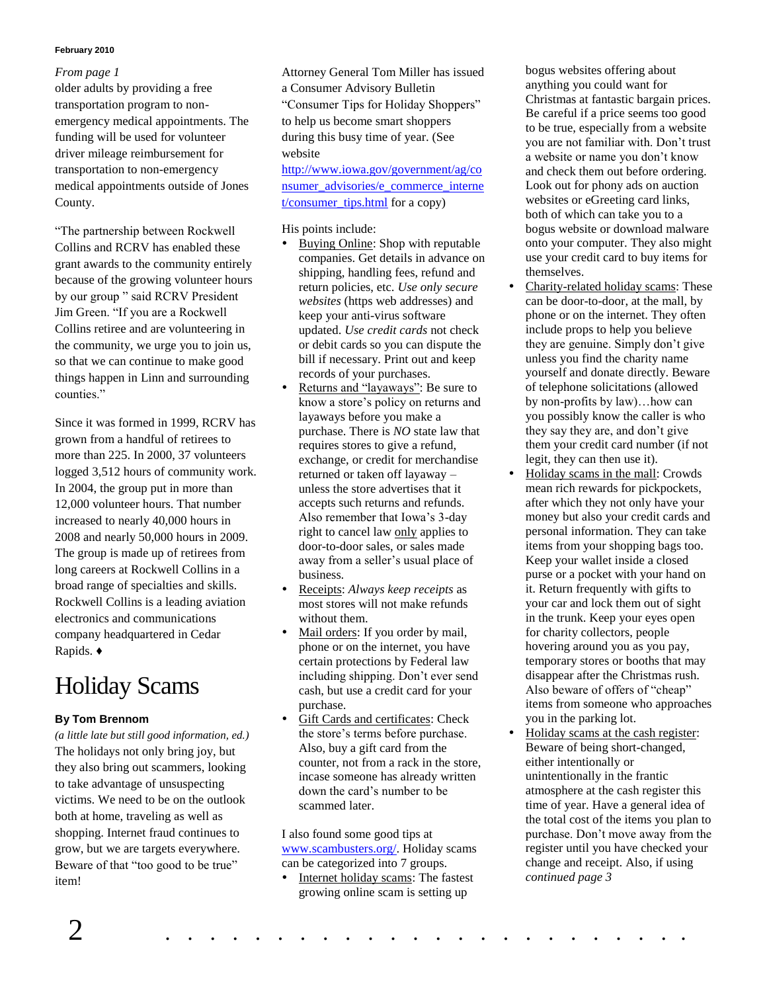#### **February 2010**

#### *From page 1*

older adults by providing a free transportation program to nonemergency medical appointments. The funding will be used for volunteer driver mileage reimbursement for transportation to non-emergency medical appointments outside of Jones County.

"The partnership between Rockwell Collins and RCRV has enabled these grant awards to the community entirely because of the growing volunteer hours by our group " said RCRV President Jim Green. "If you are a Rockwell Collins retiree and are volunteering in the community, we urge you to join us, so that we can continue to make good things happen in Linn and surrounding counties."

Since it was formed in 1999, RCRV has grown from a handful of retirees to more than 225. In 2000, 37 volunteers logged 3,512 hours of community work. In 2004, the group put in more than 12,000 volunteer hours. That number increased to nearly 40,000 hours in 2008 and nearly 50,000 hours in 2009. The group is made up of retirees from long careers at Rockwell Collins in a broad range of specialties and skills. Rockwell Collins is a leading aviation electronics and communications company headquartered in Cedar Rapids. ♦

## Holiday Scams

#### **By Tom Brennom**

*(a little late but still good information, ed.)* The holidays not only bring joy, but they also bring out scammers, looking to take advantage of unsuspecting victims. We need to be on the outlook both at home, traveling as well as shopping. Internet fraud continues to grow, but we are targets everywhere. Beware of that "too good to be true" item!

Attorney General Tom Miller has issued a Consumer Advisory Bulletin "Consumer Tips for Holiday Shoppers" to help us become smart shoppers during this busy time of year. (See website

[http://www.iowa.gov/government/ag/co](http://www.iowa.gov/government/ag/consumer_advisories/e_commerce_internet/consumer_tips.html) [nsumer\\_advisories/e\\_commerce\\_interne](http://www.iowa.gov/government/ag/consumer_advisories/e_commerce_internet/consumer_tips.html) [t/consumer\\_tips.html](http://www.iowa.gov/government/ag/consumer_advisories/e_commerce_internet/consumer_tips.html) for a copy)

His points include:

- Buying Online: Shop with reputable companies. Get details in advance on shipping, handling fees, refund and return policies, etc. *Use only secure websites* (https web addresses) and keep your anti-virus software updated. *Use credit cards* not check or debit cards so you can dispute the bill if necessary. Print out and keep records of your purchases.
- Returns and "layaways": Be sure to know a store's policy on returns and layaways before you make a purchase. There is *NO* state law that requires stores to give a refund, exchange, or credit for merchandise returned or taken off layaway – unless the store advertises that it accepts such returns and refunds. Also remember that Iowa's 3-day right to cancel law only applies to door-to-door sales, or sales made away from a seller's usual place of business.
- Receipts: *Always keep receipts* as most stores will not make refunds without them.
- Mail orders: If you order by mail, phone or on the internet, you have certain protections by Federal law including shipping. Don't ever send cash, but use a credit card for your purchase.
- Gift Cards and certificates: Check the store's terms before purchase. Also, buy a gift card from the counter, not from a rack in the store, incase someone has already written down the card's number to be scammed later.

I also found some good tips at [www.scambusters.org/.](http://www.scambusters.org/) Holiday scams can be categorized into 7 groups.

• Internet holiday scams: The fastest growing online scam is setting up

bogus websites offering about anything you could want for Christmas at fantastic bargain prices. Be careful if a price seems too good to be true, especially from a website you are not familiar with. Don't trust a website or name you don't know and check them out before ordering. Look out for phony ads on auction websites or eGreeting card links, both of which can take you to a bogus website or download malware onto your computer. They also might use your credit card to buy items for themselves.

- Charity-related holiday scams: These can be door-to-door, at the mall, by phone or on the internet. They often include props to help you believe they are genuine. Simply don't give unless you find the charity name yourself and donate directly. Beware of telephone solicitations (allowed by non-profits by law)…how can you possibly know the caller is who they say they are, and don't give them your credit card number (if not legit, they can then use it).
- Holiday scams in the mall: Crowds mean rich rewards for pickpockets, after which they not only have your money but also your credit cards and personal information. They can take items from your shopping bags too. Keep your wallet inside a closed purse or a pocket with your hand on it. Return frequently with gifts to your car and lock them out of sight in the trunk. Keep your eyes open for charity collectors, people hovering around you as you pay, temporary stores or booths that may disappear after the Christmas rush. Also beware of offers of "cheap" items from someone who approaches you in the parking lot.
- Holiday scams at the cash register: Beware of being short-changed, either intentionally or unintentionally in the frantic atmosphere at the cash register this time of year. Have a general idea of the total cost of the items you plan to purchase. Don't move away from the register until you have checked your change and receipt. Also, if using *continued page 3*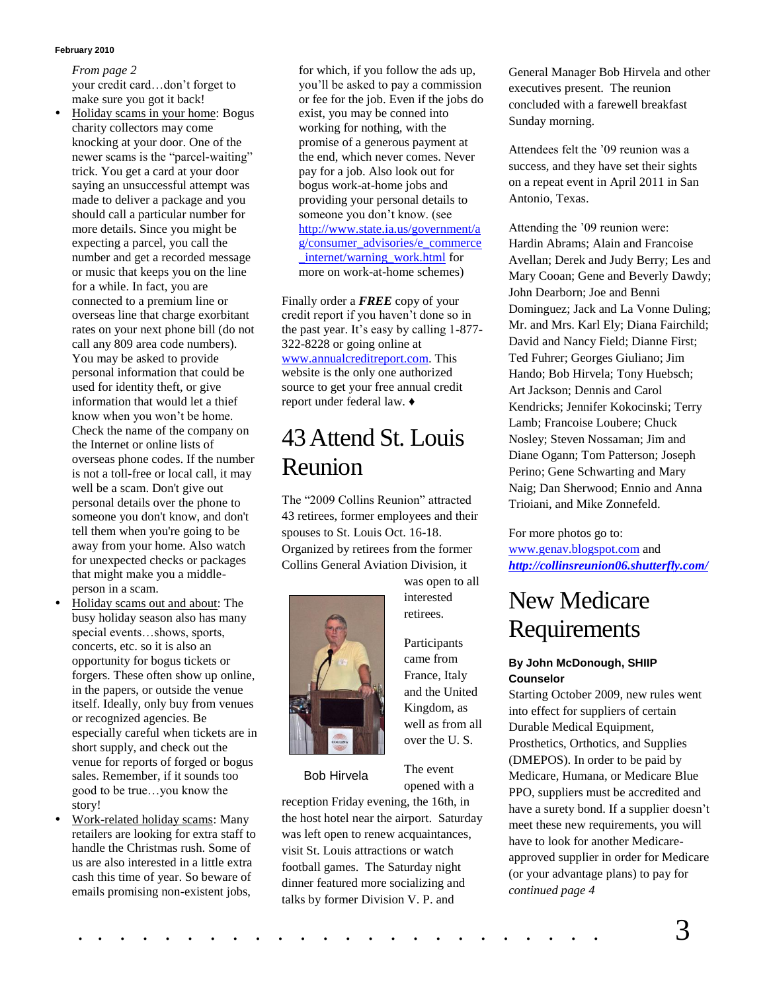#### **February 2010**

*From page 2*

your credit card…don't forget to make sure you got it back!

- Holiday scams in your home: Bogus charity collectors may come knocking at your door. One of the newer scams is the "parcel-waiting" trick. You get a card at your door saying an unsuccessful attempt was made to deliver a package and you should call a particular number for more details. Since you might be expecting a parcel, you call the number and get a recorded message or music that keeps you on the line for a while. In fact, you are connected to a premium line or overseas line that charge exorbitant rates on your next phone bill (do not call any 809 area code numbers). You may be asked to provide personal information that could be used for identity theft, or give information that would let a thief know when you won't be home. Check the name of the company on the Internet or online lists of overseas phone codes. If the number is not a toll-free or local call, it may well be a scam. Don't give out personal details over the phone to someone you don't know, and don't tell them when you're going to be away from your home. Also watch for unexpected checks or packages that might make you a middleperson in a scam.
- Holiday scams out and about: The busy holiday season also has many special events…shows, sports, concerts, etc. so it is also an opportunity for bogus tickets or forgers. These often show up online, in the papers, or outside the venue itself. Ideally, only buy from venues or recognized agencies. Be especially careful when tickets are in short supply, and check out the venue for reports of forged or bogus sales. Remember, if it sounds too good to be true…you know the story!
- Work-related holiday scams: Many retailers are looking for extra staff to handle the Christmas rush. Some of us are also interested in a little extra cash this time of year. So beware of emails promising non-existent jobs,

for which, if you follow the ads up, you'll be asked to pay a commission or fee for the job. Even if the jobs do exist, you may be conned into working for nothing, with the promise of a generous payment at the end, which never comes. Never pay for a job. Also look out for bogus work-at-home jobs and providing your personal details to someone you don't know. (see [http://www.state.ia.us/government/a](http://www.state.ia.us/government/ag/consumer_advisories/e_commerce_internet/warning_work.html) [g/consumer\\_advisories/e\\_commerce](http://www.state.ia.us/government/ag/consumer_advisories/e_commerce_internet/warning_work.html) [\\_internet/warning\\_work.html](http://www.state.ia.us/government/ag/consumer_advisories/e_commerce_internet/warning_work.html) for more on work-at-home schemes)

Finally order a *FREE* copy of your credit report if you haven't done so in the past year. It's easy by calling 1-877- 322-8228 or going online at [www.annualcreditreport.com.](http://www.annualcreditreport.com/) This website is the only one authorized source to get your free annual credit report under federal law. ♦

## 43 Attend St. Louis Reunion

The "2009 Collins Reunion" attracted 43 retirees, former employees and their spouses to St. Louis Oct. 16-18. Organized by retirees from the former Collins General Aviation Division, it



was open to all interested retirees.

Participants came from France, Italy and the United Kingdom, as well as from all over the U. S.

The event opened with a

Bob Hirvela

reception Friday evening, the 16th, in the host hotel near the airport. Saturday was left open to renew acquaintances, visit St. Louis attractions or watch football games. The Saturday night dinner featured more socializing and talks by former Division V. P. and

General Manager Bob Hirvela and other executives present. The reunion concluded with a farewell breakfast Sunday morning.

Attendees felt the '09 reunion was a success, and they have set their sights on a repeat event in April 2011 in San Antonio, Texas.

Attending the '09 reunion were: Hardin Abrams; Alain and Francoise Avellan; Derek and Judy Berry; Les and Mary Cooan; Gene and Beverly Dawdy; John Dearborn; Joe and Benni Dominguez; Jack and La Vonne Duling; Mr. and Mrs. Karl Ely; Diana Fairchild; David and Nancy Field; Dianne First; Ted Fuhrer; Georges Giuliano; Jim Hando; Bob Hirvela; Tony Huebsch; Art Jackson; Dennis and Carol Kendricks; Jennifer Kokocinski; Terry Lamb; Francoise Loubere; Chuck Nosley; Steven Nossaman; Jim and Diane Ogann; Tom Patterson; Joseph Perino; Gene Schwarting and Mary Naig; Dan Sherwood; Ennio and Anna Trioiani, and Mike Zonnefeld.

For more photos go to: [www.genav.blogspot.com](http://www.genav.blogspot.com/) and *<http://collinsreunion06.shutterfly.com/>*

## New Medicare Requirements

#### **By John McDonough, SHIIP Counselor**

Starting October 2009, new rules went into effect for suppliers of certain Durable Medical Equipment, Prosthetics, Orthotics, and Supplies (DMEPOS). In order to be paid by Medicare, Humana, or Medicare Blue PPO, suppliers must be accredited and have a surety bond. If a supplier doesn't meet these new requirements, you will have to look for another Medicareapproved supplier in order for Medicare (or your advantage plans) to pay for *continued page 4*